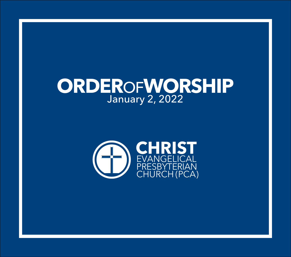# **ORDER**OF**WORSHIP** January 2, 2022

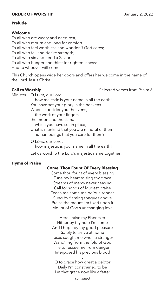# **ORDER OF WORSHIP Signal Contract Service Contract Service Contract Service Contract Service Contract Service Contract Service Contract Service Contract Service Contract Service Contract Service Contract Service Contract**

# **Prelude**

# **Welcome**

To all who are weary and need rest; To all who mourn and long for comfort; To all who feel worthless and wonder if God cares; To all who fail and desire strength; To all who sin and need a Savior; To all who hunger and thirst for righteousness; And to whoever will come–

This Church opens wide her doors and offers her welcome in the name of the Lord Jesus Christ.

**Call to Worship** Selected verses from Psalm 8

Minister: O Lord, our Lord,

how majestic is your name in all the earth! You have set your glory in the heavens. When I consider your heavens, the work of your fingers, the moon and the stars, which you have set in place, what is mankind that you are mindful of them, human beings that you care for them?

O LORD, our Lord, how majestic is your name in all the earth!

Let us worship the Lord's majestic name together!

# **Hymn of Praise**

# **Come, Thou Fount Of Every Blessing**

Come thou fount of every blessing Tune my heart to sing thy grace Streams of mercy never ceasing Call for songs of loudest praise Teach me some melodious sonnet Sung by flaming tongues above Praise the mount I'm fixed upon it Mount of God's unchanging love

Here I raise my Ebenezer Hither by thy help I'm come And I hope by thy good pleasure Safely to arrive at home Jesus sought me when a stranger Wand'ring from the fold of God He to rescue me from danger Interposed his precious blood

O to grace how great a debtor Daily I'm constrained to be Let that grace now like a fetter

.

*continued*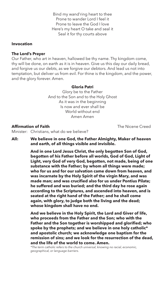Bind my wand'ring heart to thee Prone to wander Lord I feel it Prone to leave the God I love Here's my heart O take and seal it Seal it for thy courts above

# **Invocation**

### **The Lord's Prayer**

Our Father, who art in heaven, hallowed be thy name. Thy kingdom come, thy will be done, on earth as it is in heaven. Give us this day our daily bread, and forgive us our debts, as we forgive our debtors. And lead us not into temptation, but deliver us from evil. For thine is the kingdom, and the power, and the glory forever. Amen.

#### **Gloria Patri**

Glory be to the Father And to the Son and to the Holy Ghost As it was in the beginning Is now and ever shall be World without end Amen Amen

#### **Affirmation of Faith The Nicene Creed**

Minister: Christians, what do we believe?

**All: We believe in one God, the Father Almighty, Maker of heaven and earth, of all things visible and invisible.**

> **And in one Lord Jesus Christ, the only begotten Son of God, begotten of his Father before all worlds, God of God, Light of Light, very God of very God, begotten, not made, being of one substance with the Father; by whom all things were made; who for us and for our salvation came down from heaven, and was incarnate by the Holy Spirit of the virgin Mary, and was made man; and was crucified also for us under Pontius Pilate; he suffered and was buried; and the third day he rose again according to the Scriptures, and ascended into heaven, and is seated at the right hand of the Father; and he shall come again, with glory, to judge both the living and the dead; whose kingdom shall have no end.**

> **And we believe in the Holy Spirit, the Lord and Giver of life, who proceeds from the Father and the Son; who with the Father and the Son together is worshipped and glorified; who spoke by the prophets; and we believe in one holy catholic\* and apostolic church; we acknowledge one baptism for the remission of sins; and we look for the resurrection of the dead, and the life of the world to come. Amen.**

*\*The term catholic refers to the church universal, knowing no racial, economic, geographical, or language barriers.*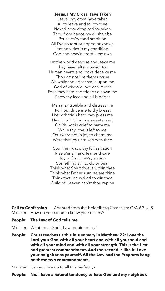# **Jesus, I My Cross Have Taken**

Jesus I my cross have taken All to leave and follow thee Naked poor despised forsaken Thou from hence my all shalt be Perish ev'ry fond ambition All I've sought or hoped or known Yet how rich is my condition God and heav'n are still my own

Let the world despise and leave me They have left my Savior too Human hearts and looks deceive me Thou art not like them untrue Oh while thou dost smile upon me God of wisdom love and might Foes may hate and friends disown me Show thy face and all is bright

Man may trouble and distress me Twill but drive me to thy breast Life with trials hard may press me Heav'n will bring me sweeter rest Oh 'tis not in grief to harm me While thy love is left to me Oh 'twere not in joy to charm me Were that joy unmixed with thee

Soul then know thy full salvation Rise o'er sin and fear and care Joy to find in ev'ry station Something still to do or bear Think what Spirit dwells within thee Think what Father's smiles are thine Think that Jesus died to win thee Child of Heaven can'st thou repine

**Call to Confession** Adapted from the Heidelberg Catechism Q/A # 3, 4, 5 Minister: How do you come to know your misery?

- **People: The Law of God tells me.**
- Minister: What does God's Law require of us?
- **People: Christ teaches us this in summary in Matthew 22: Love the Lord your God with all your heart and with all your soul and with all your mind and with all your strength. This is the first and greatest commandment. And the second is like it: Love your neighbor as yourself. All the Law and the Prophets hang on these two commandments.**

Minister: Can you live up to all this perfectly?

**People: No. I have a natural tendency to hate God and my neighbor.**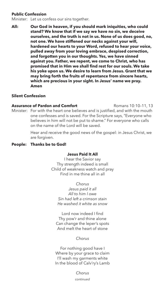# **Public Confession**

Minister: Let us confess our sins together.

**All: Our God in heaven, if you should mark iniquities, who could stand? We know that if we say we have no sin, we deceive ourselves, and the truth is not in us. None of us does good, no, not one. We have stiffened our necks against your will, hardened our hearts to your Word, refused to hear your voice, pulled away from your loving embrace, despised correction, and forgotten you in our thoughts. Yes, we have sinned against you. Father, we repent, we come to Christ, who has promised that in Him we shall find rest for our souls. We take his yoke upon us. We desire to learn from Jesus. Grant that we may bring forth the fruits of repentance from sincere hearts, which are precious in your sight. In Jesus' name we pray. Amen**

# **Silent Confession**

**Assurance of Pardon and Comfort** Romans 10:10-11, 13 Minister: For with the heart one believes and is justified, and with the mouth one confesses and is saved. For the Scripture says, "Everyone who believes in him will not be put to shame." For everyone who calls on the name of the Lord will be saved.

> Hear and receive the good news of the gospel: in Jesus Christ, we are forgiven.

#### **People: Thanks be to God!**

#### **Jesus Paid It All**

I hear the Savior say Thy strength indeed is small Child of weakness watch and pray Find in me thine all in all

> *Chorus Jesus paid it all All to him I owe Sin had left a crimson stain He washed it white as snow*

Lord now indeed I find Thy pow'r and thine alone Can change the leper's spots And melt the heart of stone

*Chorus*

For nothing good have I Where by your grace to claim I'll wash my garments white In the blood of Calv'ry's Lamb

> *Chorus continued*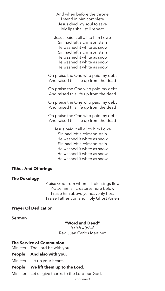And when before the throne I stand in him complete Jesus died my soul to save My lips shall still repeat

Jesus paid it all all to him I owe Sin had left a crimson stain He washed it white as snow Sin had left a crimson stain He washed it white as snow He washed it white as snow He washed it white as snow

Oh praise the One who paid my debt And raised this life up from the dead

Oh praise the One who paid my debt And raised this life up from the dead

Oh praise the One who paid my debt And raised this life up from the dead

Oh praise the One who paid my debt And raised this life up from the dead

Jesus paid it all all to him I owe Sin had left a crimson stain He washed it white as snow Sin had left a crimson stain He washed it white as snow He washed it white as snow He washed it white as snow

# **Tithes And Offerings**

#### **The Doxology**

Praise God from whom all blessings flow Praise him all creatures here below Praise him above ye heavenly host Praise Father Son and Holy Ghost Amen

#### **Prayer Of Dedication**

#### **Sermon**

#### **"Word and Deed"**

*Isaiah 40:6–8* Rev. Juan Carlos Martinez

#### **The Service of Communion**

Minister: The Lord be with you.

#### **People: And also with you.**

Minister: Lift up your hearts.

#### **People: We lift them up to the Lord.**

Minister: Let us give thanks to the Lord our God.

*continued*